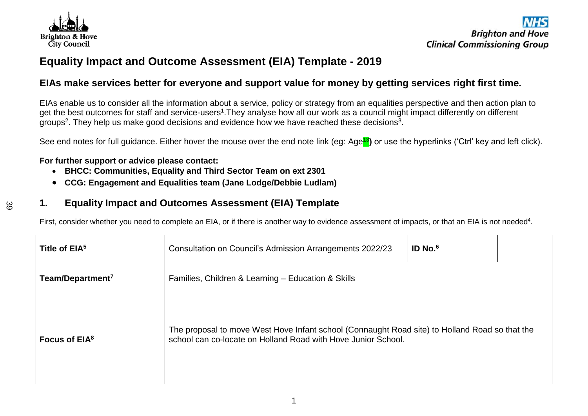

က္က

# **Equality Impact and Outcome Assessment (EIA) Template - 2019**

## **EIAs make services better for everyone and support value for money by getting services right first time.**

EIAs enable us to consider all the information about a service, policy or strategy from an equalities perspective and then action plan to get the best outcomes for staff and service-users<sup>1</sup>. They analyse how all our work as a council might impact differently on different groups<sup>2</sup>. They help us make good decisions and evidence how we have reached these decisions<sup>3</sup>.

See end notes for full guidance. Either hover the mouse over the end note link (eg: Age<mark>13</mark>) or use the hyperlinks ('Ctrl' key and left click).

#### **For further support or advice please contact:**

- **BHCC: Communities, Equality and Third Sector Team on ext 2301**
- **CCG: Engagement and Equalities team (Jane Lodge/Debbie Ludlam)**

### **1. Equality Impact and Outcomes Assessment (EIA) Template**

First, consider whether you need to complete an EIA, or if there is another way to evidence assessment of impacts, or that an EIA is not needed<sup>4</sup>.

| Title of EIA <sup>5</sup>    | Consultation on Council's Admission Arrangements 2022/23                                                                                                        | $ID$ No. $6$ |  |  |
|------------------------------|-----------------------------------------------------------------------------------------------------------------------------------------------------------------|--------------|--|--|
| Team/Department <sup>7</sup> | Families, Children & Learning - Education & Skills                                                                                                              |              |  |  |
| Focus of $EIA8$              | The proposal to move West Hove Infant school (Connaught Road site) to Holland Road so that the<br>school can co-locate on Holland Road with Hove Junior School. |              |  |  |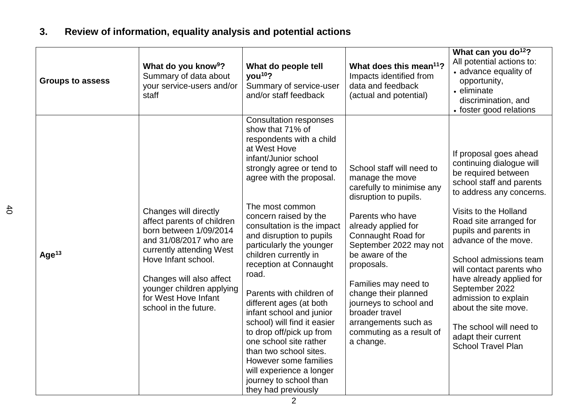# **3. Review of information, equality analysis and potential actions**

| <b>Groups to assess</b> | What do you know <sup>9</sup> ?<br>Summary of data about<br>your service-users and/or<br>staff                                                                                                                                                                       | What do people tell<br>you <sup>10</sup> ?<br>Summary of service-user<br>and/or staff feedback                                                                                                                                                                                                                                                                                                                                                                                                                                                                                                                                                                                       | What does this mean <sup>11</sup> ?<br>Impacts identified from<br>data and feedback<br>(actual and potential)                                                                                                                                                                                                                                                                               | What can you do <sup>12</sup> ?<br>All potential actions to:<br>• advance equality of<br>opportunity,<br>• eliminate<br>discrimination, and<br>• foster good relations                                                                                                                                                                                                                                                                                                   |
|-------------------------|----------------------------------------------------------------------------------------------------------------------------------------------------------------------------------------------------------------------------------------------------------------------|--------------------------------------------------------------------------------------------------------------------------------------------------------------------------------------------------------------------------------------------------------------------------------------------------------------------------------------------------------------------------------------------------------------------------------------------------------------------------------------------------------------------------------------------------------------------------------------------------------------------------------------------------------------------------------------|---------------------------------------------------------------------------------------------------------------------------------------------------------------------------------------------------------------------------------------------------------------------------------------------------------------------------------------------------------------------------------------------|--------------------------------------------------------------------------------------------------------------------------------------------------------------------------------------------------------------------------------------------------------------------------------------------------------------------------------------------------------------------------------------------------------------------------------------------------------------------------|
| Age $13$                | Changes will directly<br>affect parents of children<br>born between 1/09/2014<br>and 31/08/2017 who are<br>currently attending West<br>Hove Infant school.<br>Changes will also affect<br>younger children applying<br>for West Hove Infant<br>school in the future. | <b>Consultation responses</b><br>show that 71% of<br>respondents with a child<br>at West Hove<br>infant/Junior school<br>strongly agree or tend to<br>agree with the proposal.<br>The most common<br>concern raised by the<br>consultation is the impact<br>and disruption to pupils<br>particularly the younger<br>children currently in<br>reception at Connaught<br>road.<br>Parents with children of<br>different ages (at both<br>infant school and junior<br>school) will find it easier<br>to drop off/pick up from<br>one school site rather<br>than two school sites.<br>However some families<br>will experience a longer<br>journey to school than<br>they had previously | School staff will need to<br>manage the move<br>carefully to minimise any<br>disruption to pupils.<br>Parents who have<br>already applied for<br>Connaught Road for<br>September 2022 may not<br>be aware of the<br>proposals.<br>Families may need to<br>change their planned<br>journeys to school and<br>broader travel<br>arrangements such as<br>commuting as a result of<br>a change. | If proposal goes ahead<br>continuing dialogue will<br>be required between<br>school staff and parents<br>to address any concerns.<br>Visits to the Holland<br>Road site arranged for<br>pupils and parents in<br>advance of the move.<br>School admissions team<br>will contact parents who<br>have already applied for<br>September 2022<br>admission to explain<br>about the site move.<br>The school will need to<br>adapt their current<br><b>School Travel Plan</b> |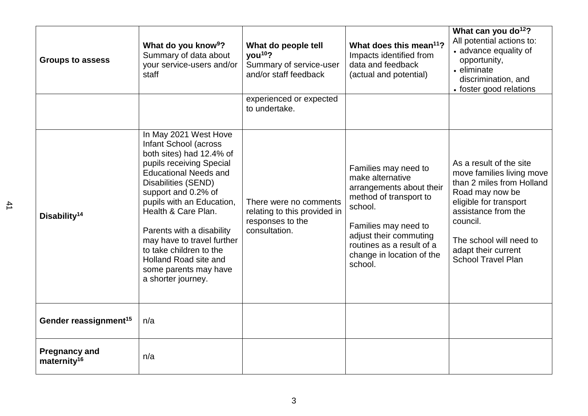| <b>Groups to assess</b>                         | What do you know <sup>9</sup> ?<br>Summary of data about<br>your service-users and/or<br>staff                                                                                                                                                                                                                                                                                                         | What do people tell<br>vou <sup>10</sup> ?<br>Summary of service-user<br>and/or staff feedback | What does this mean <sup>11</sup> ?<br>Impacts identified from<br>data and feedback<br>(actual and potential)                                                                                                                    | What can you do <sup>12</sup> ?<br>All potential actions to:<br>• advance equality of<br>opportunity,<br>• eliminate<br>discrimination, and<br>• foster good relations                                                                           |
|-------------------------------------------------|--------------------------------------------------------------------------------------------------------------------------------------------------------------------------------------------------------------------------------------------------------------------------------------------------------------------------------------------------------------------------------------------------------|------------------------------------------------------------------------------------------------|----------------------------------------------------------------------------------------------------------------------------------------------------------------------------------------------------------------------------------|--------------------------------------------------------------------------------------------------------------------------------------------------------------------------------------------------------------------------------------------------|
|                                                 |                                                                                                                                                                                                                                                                                                                                                                                                        | experienced or expected<br>to undertake.                                                       |                                                                                                                                                                                                                                  |                                                                                                                                                                                                                                                  |
| Disability <sup>14</sup>                        | In May 2021 West Hove<br>Infant School (across<br>both sites) had 12.4% of<br>pupils receiving Special<br><b>Educational Needs and</b><br>Disabilities (SEND)<br>support and 0.2% of<br>pupils with an Education,<br>Health & Care Plan.<br>Parents with a disability<br>may have to travel further<br>to take children to the<br>Holland Road site and<br>some parents may have<br>a shorter journey. | There were no comments<br>relating to this provided in<br>responses to the<br>consultation.    | Families may need to<br>make alternative<br>arrangements about their<br>method of transport to<br>school.<br>Families may need to<br>adjust their commuting<br>routines as a result of a<br>change in location of the<br>school. | As a result of the site<br>move families living move<br>than 2 miles from Holland<br>Road may now be<br>eligible for transport<br>assistance from the<br>council.<br>The school will need to<br>adapt their current<br><b>School Travel Plan</b> |
| Gender reassignment <sup>15</sup>               | n/a                                                                                                                                                                                                                                                                                                                                                                                                    |                                                                                                |                                                                                                                                                                                                                                  |                                                                                                                                                                                                                                                  |
| <b>Pregnancy and</b><br>maternity <sup>16</sup> | n/a                                                                                                                                                                                                                                                                                                                                                                                                    |                                                                                                |                                                                                                                                                                                                                                  |                                                                                                                                                                                                                                                  |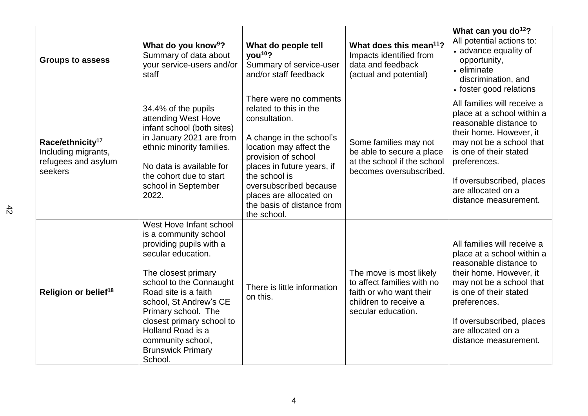| <b>Groups to assess</b>                                                               | What do you know <sup>9</sup> ?<br>Summary of data about<br>your service-users and/or<br>staff                                                                                                                                                                                                                                             | What do people tell<br>you <sup>10</sup> ?<br>Summary of service-user<br>and/or staff feedback                                                                                                                                                                                                   | What does this mean <sup>11</sup> ?<br>Impacts identified from<br>data and feedback<br>(actual and potential)                   | What can you do <sup>12</sup> ?<br>All potential actions to:<br>• advance equality of<br>opportunity,<br>• eliminate<br>discrimination, and<br>• foster good relations                                                                                           |
|---------------------------------------------------------------------------------------|--------------------------------------------------------------------------------------------------------------------------------------------------------------------------------------------------------------------------------------------------------------------------------------------------------------------------------------------|--------------------------------------------------------------------------------------------------------------------------------------------------------------------------------------------------------------------------------------------------------------------------------------------------|---------------------------------------------------------------------------------------------------------------------------------|------------------------------------------------------------------------------------------------------------------------------------------------------------------------------------------------------------------------------------------------------------------|
| Race/ethnicity <sup>17</sup><br>Including migrants,<br>refugees and asylum<br>seekers | 34.4% of the pupils<br>attending West Hove<br>infant school (both sites)<br>in January 2021 are from<br>ethnic minority families.<br>No data is available for<br>the cohort due to start<br>school in September<br>2022.                                                                                                                   | There were no comments<br>related to this in the<br>consultation.<br>A change in the school's<br>location may affect the<br>provision of school<br>places in future years, if<br>the school is<br>oversubscribed because<br>places are allocated on<br>the basis of distance from<br>the school. | Some families may not<br>be able to secure a place<br>at the school if the school<br>becomes oversubscribed.                    | All families will receive a<br>place at a school within a<br>reasonable distance to<br>their home. However, it<br>may not be a school that<br>is one of their stated<br>preferences.<br>If oversubscribed, places<br>are allocated on a<br>distance measurement. |
| Religion or belief <sup>18</sup>                                                      | West Hove Infant school<br>is a community school<br>providing pupils with a<br>secular education.<br>The closest primary<br>school to the Connaught<br>Road site is a faith<br>school, St Andrew's CE<br>Primary school. The<br>closest primary school to<br>Holland Road is a<br>community school,<br><b>Brunswick Primary</b><br>School. | There is little information<br>on this.                                                                                                                                                                                                                                                          | The move is most likely<br>to affect families with no<br>faith or who want their<br>children to receive a<br>secular education. | All families will receive a<br>place at a school within a<br>reasonable distance to<br>their home. However, it<br>may not be a school that<br>is one of their stated<br>preferences.<br>If oversubscribed, places<br>are allocated on a<br>distance measurement. |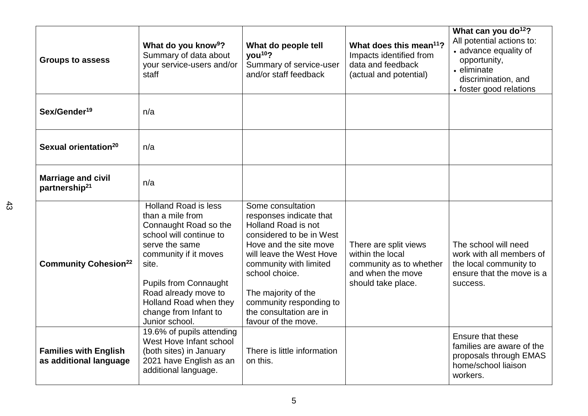| <b>Groups to assess</b>                                | What do you know <sup>9</sup> ?<br>Summary of data about<br>your service-users and/or<br>staff                                                                                                                                                                                       | What do people tell<br>you <sup>10</sup> ?<br>Summary of service-user<br>and/or staff feedback                                                                                                                                                                                                        | What does this mean <sup>11</sup> ?<br>Impacts identified from<br>data and feedback<br>(actual and potential)   | What can you do <sup>12</sup> ?<br>All potential actions to:<br>• advance equality of<br>opportunity,<br>• eliminate<br>discrimination, and<br>• foster good relations |
|--------------------------------------------------------|--------------------------------------------------------------------------------------------------------------------------------------------------------------------------------------------------------------------------------------------------------------------------------------|-------------------------------------------------------------------------------------------------------------------------------------------------------------------------------------------------------------------------------------------------------------------------------------------------------|-----------------------------------------------------------------------------------------------------------------|------------------------------------------------------------------------------------------------------------------------------------------------------------------------|
| Sex/Gender <sup>19</sup>                               | n/a                                                                                                                                                                                                                                                                                  |                                                                                                                                                                                                                                                                                                       |                                                                                                                 |                                                                                                                                                                        |
| Sexual orientation <sup>20</sup>                       | n/a                                                                                                                                                                                                                                                                                  |                                                                                                                                                                                                                                                                                                       |                                                                                                                 |                                                                                                                                                                        |
| <b>Marriage and civil</b><br>partnership <sup>21</sup> | n/a                                                                                                                                                                                                                                                                                  |                                                                                                                                                                                                                                                                                                       |                                                                                                                 |                                                                                                                                                                        |
| <b>Community Cohesion<sup>22</sup></b>                 | <b>Holland Road is less</b><br>than a mile from<br>Connaught Road so the<br>school will continue to<br>serve the same<br>community if it moves<br>site.<br><b>Pupils from Connaught</b><br>Road already move to<br>Holland Road when they<br>change from Infant to<br>Junior school. | Some consultation<br>responses indicate that<br>Holland Road is not<br>considered to be in West<br>Hove and the site move<br>will leave the West Hove<br>community with limited<br>school choice.<br>The majority of the<br>community responding to<br>the consultation are in<br>favour of the move. | There are split views<br>within the local<br>community as to whether<br>and when the move<br>should take place. | The school will need<br>work with all members of<br>the local community to<br>ensure that the move is a<br>success.                                                    |
| <b>Families with English</b><br>as additional language | 19.6% of pupils attending<br>West Hove Infant school<br>(both sites) in January<br>2021 have English as an<br>additional language.                                                                                                                                                   | There is little information<br>on this.                                                                                                                                                                                                                                                               |                                                                                                                 | Ensure that these<br>families are aware of the<br>proposals through EMAS<br>home/school liaison<br>workers.                                                            |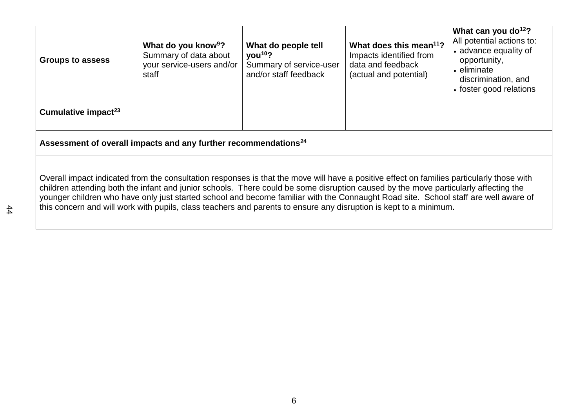| <b>Groups to assess</b>                                                     | What do you know <sup>9</sup> ?<br>Summary of data about<br>your service-users and/or<br>staff | What do people tell<br>you <sup>10</sup> ?<br>Summary of service-user<br>and/or staff feedback | What does this mean <sup>11</sup> ?<br>Impacts identified from<br>data and feedback<br>(actual and potential) | What can you do <sup>12</sup> ?<br>All potential actions to:<br>• advance equality of<br>opportunity,<br>• eliminate<br>discrimination, and<br>• foster good relations |  |
|-----------------------------------------------------------------------------|------------------------------------------------------------------------------------------------|------------------------------------------------------------------------------------------------|---------------------------------------------------------------------------------------------------------------|------------------------------------------------------------------------------------------------------------------------------------------------------------------------|--|
| Cumulative impact <sup>23</sup>                                             |                                                                                                |                                                                                                |                                                                                                               |                                                                                                                                                                        |  |
| Assessment of overall impacts and any further recommendations <sup>24</sup> |                                                                                                |                                                                                                |                                                                                                               |                                                                                                                                                                        |  |

Overall impact indicated from the consultation responses is that the move will have a positive effect on families particularly those with children attending both the infant and junior schools. There could be some disruption caused by the move particularly affecting the younger children who have only just started school and become familiar with the Connaught Road site. School staff are well aware of this concern and will work with pupils, class teachers and parents to ensure any disruption is kept to a minimum.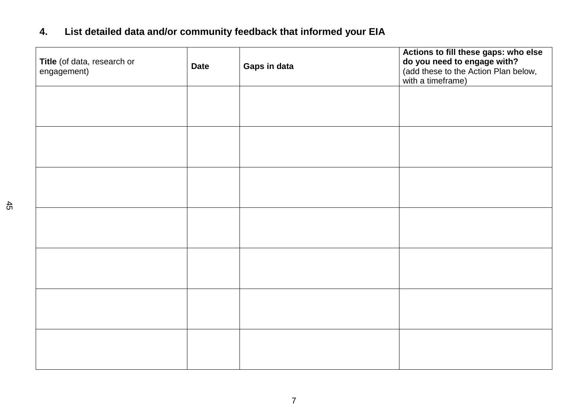# **4. List detailed data and/or community feedback that informed your EIA**

| Title (of data, research or<br>engagement) | <b>Date</b> | Gaps in data | Actions to fill these gaps: who else<br>do you need to engage with?<br>(add these to the Action Plan below,<br>with a timeframe) |
|--------------------------------------------|-------------|--------------|----------------------------------------------------------------------------------------------------------------------------------|
|                                            |             |              |                                                                                                                                  |
|                                            |             |              |                                                                                                                                  |
|                                            |             |              |                                                                                                                                  |
|                                            |             |              |                                                                                                                                  |
|                                            |             |              |                                                                                                                                  |
|                                            |             |              |                                                                                                                                  |
|                                            |             |              |                                                                                                                                  |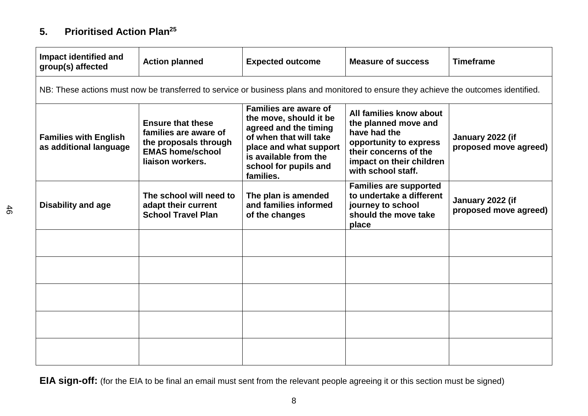## **5. Prioritised Action Plan 25**

| Impact identified and<br>group(s) affected             | <b>Action planned</b>                                                                                                     | <b>Expected outcome</b>                                                                                                                                                                     | <b>Measure of success</b>                                                                                                                                            | <b>Timeframe</b>                          |
|--------------------------------------------------------|---------------------------------------------------------------------------------------------------------------------------|---------------------------------------------------------------------------------------------------------------------------------------------------------------------------------------------|----------------------------------------------------------------------------------------------------------------------------------------------------------------------|-------------------------------------------|
|                                                        |                                                                                                                           |                                                                                                                                                                                             | NB: These actions must now be transferred to service or business plans and monitored to ensure they achieve the outcomes identified.                                 |                                           |
| <b>Families with English</b><br>as additional language | <b>Ensure that these</b><br>families are aware of<br>the proposals through<br><b>EMAS home/school</b><br>liaison workers. | Families are aware of<br>the move, should it be<br>agreed and the timing<br>of when that will take<br>place and what support<br>is available from the<br>school for pupils and<br>families. | All families know about<br>the planned move and<br>have had the<br>opportunity to express<br>their concerns of the<br>impact on their children<br>with school staff. | January 2022 (if<br>proposed move agreed) |
| <b>Disability and age</b>                              | The school will need to<br>adapt their current<br><b>School Travel Plan</b>                                               | The plan is amended<br>and families informed<br>of the changes                                                                                                                              | <b>Families are supported</b><br>to undertake a different<br>journey to school<br>should the move take<br>place                                                      | January 2022 (if<br>proposed move agreed) |
|                                                        |                                                                                                                           |                                                                                                                                                                                             |                                                                                                                                                                      |                                           |
|                                                        |                                                                                                                           |                                                                                                                                                                                             |                                                                                                                                                                      |                                           |
|                                                        |                                                                                                                           |                                                                                                                                                                                             |                                                                                                                                                                      |                                           |
|                                                        |                                                                                                                           |                                                                                                                                                                                             |                                                                                                                                                                      |                                           |
|                                                        |                                                                                                                           |                                                                                                                                                                                             |                                                                                                                                                                      |                                           |

**EIA sign-off:** (for the EIA to be final an email must sent from the relevant people agreeing it or this section must be signed)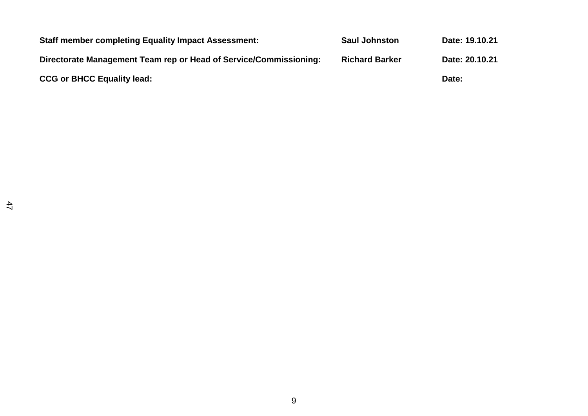| <b>Staff member completing Equality Impact Assessment:</b>        | <b>Saul Johnston</b>  | Date: 19.10.21 |
|-------------------------------------------------------------------|-----------------------|----------------|
| Directorate Management Team rep or Head of Service/Commissioning: | <b>Richard Barker</b> | Date: 20.10.21 |
| <b>CCG or BHCC Equality lead:</b>                                 |                       | Date:          |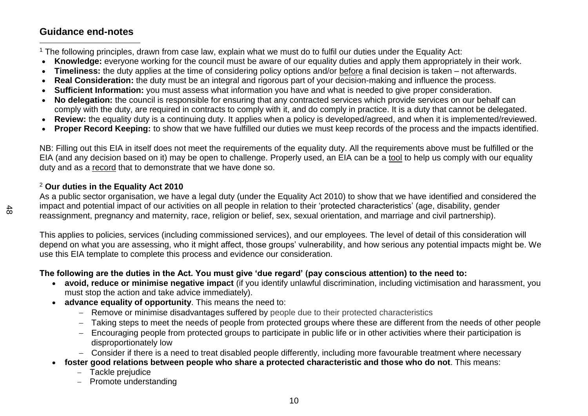## **Guidance end-notes**

 $\overline{a}$ <sup>1</sup> The following principles, drawn from case law, explain what we must do to fulfil our duties under the Equality Act:

- **Knowledge:** everyone working for the council must be aware of our equality duties and apply them appropriately in their work.
- **Timeliness:** the duty applies at the time of considering policy options and/or before a final decision is taken not afterwards.
- **Real Consideration:** the duty must be an integral and rigorous part of your decision-making and influence the process.
- **Sufficient Information:** you must assess what information you have and what is needed to give proper consideration.
- **No delegation:** the council is responsible for ensuring that any contracted services which provide services on our behalf can comply with the duty, are required in contracts to comply with it, and do comply in practice. It is a duty that cannot be delegated.
- **Review:** the equality duty is a continuing duty. It applies when a policy is developed/agreed, and when it is implemented/reviewed.
- **Proper Record Keeping:** to show that we have fulfilled our duties we must keep records of the process and the impacts identified.

NB: Filling out this EIA in itself does not meet the requirements of the equality duty. All the requirements above must be fulfilled or the EIA (and any decision based on it) may be open to challenge. Properly used, an EIA can be a tool to help us comply with our equality duty and as a record that to demonstrate that we have done so.

#### <sup>2</sup> **Our duties in the Equality Act 2010**

As a public sector organisation, we have a legal duty (under the Equality Act 2010) to show that we have identified and considered the impact and potential impact of our activities on all people in relation to their 'protected characteristics' (age, disability, gender reassignment, pregnancy and maternity, race, religion or belief, sex, sexual orientation, and marriage and civil partnership).

This applies to policies, services (including commissioned services), and our employees. The level of detail of this consideration will depend on what you are assessing, who it might affect, those groups' vulnerability, and how serious any potential impacts might be. We use this EIA template to complete this process and evidence our consideration.

### **The following are the duties in the Act. You must give 'due regard' (pay conscious attention) to the need to:**

- **avoid, reduce or minimise negative impact** (if you identify unlawful discrimination, including victimisation and harassment, you must stop the action and take advice immediately).
- **advance equality of opportunity**. This means the need to:
	- Remove or minimise disadvantages suffered by people due to their protected characteristics
	- Taking steps to meet the needs of people from protected groups where these are different from the needs of other people
	- Encouraging people from protected groups to participate in public life or in other activities where their participation is disproportionately low
	- Consider if there is a need to treat disabled people differently, including more favourable treatment where necessary
- **foster good relations between people who share a protected characteristic and those who do not**. This means:
	- Tackle prejudice
	- Promote understanding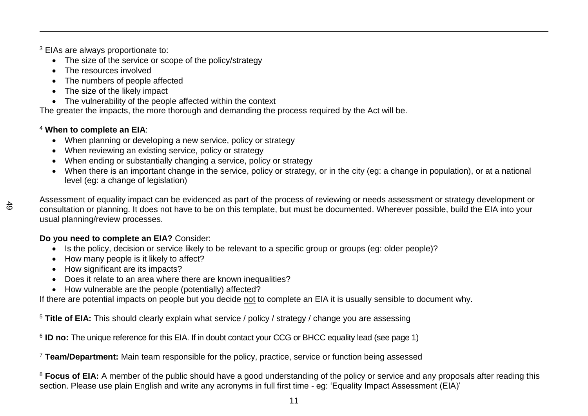<sup>3</sup> EIAs are always proportionate to:

- The size of the service or scope of the policy/strategy
- The resources involved
- The numbers of people affected
- The size of the likely impact
- The vulnerability of the people affected within the context

The greater the impacts, the more thorough and demanding the process required by the Act will be.

#### <sup>4</sup> **When to complete an EIA**:

- When planning or developing a new service, policy or strategy
- When reviewing an existing service, policy or strategy
- When ending or substantially changing a service, policy or strategy
- When there is an important change in the service, policy or strategy, or in the city (eg: a change in population), or at a national level (eg: a change of legislation)

 $\frac{4}{5}$ 

 $\overline{a}$ 

Assessment of equality impact can be evidenced as part of the process of reviewing or needs assessment or strategy development or consultation or planning. It does not have to be on this template, but must be documented. Wherever possible, build the EIA into your usual planning/review processes.

## **Do you need to complete an EIA?** Consider:

- Is the policy, decision or service likely to be relevant to a specific group or groups (eg: older people)?
- How many people is it likely to affect?
- How significant are its impacts?
- Does it relate to an area where there are known inequalities?
- How vulnerable are the people (potentially) affected?

If there are potential impacts on people but you decide not to complete an EIA it is usually sensible to document why.

<sup>5</sup> **Title of EIA:** This should clearly explain what service / policy / strategy / change you are assessing

<sup>6</sup> ID no: The unique reference for this EIA. If in doubt contact your CCG or BHCC equality lead (see page 1)

<sup>7</sup> **Team/Department:** Main team responsible for the policy, practice, service or function being assessed

<sup>8</sup> Focus of EIA: A member of the public should have a good understanding of the policy or service and any proposals after reading this section. Please use plain English and write any acronyms in full first time - eg: 'Equality Impact Assessment (EIA)'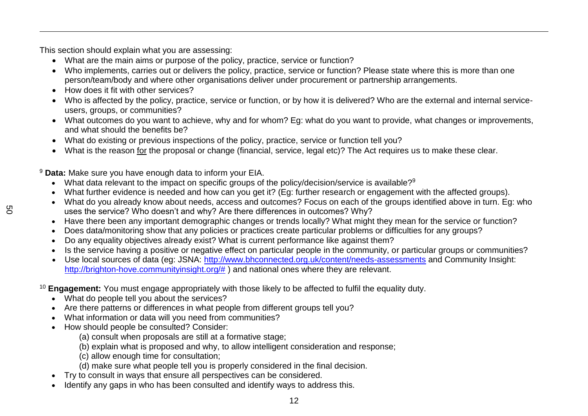This section should explain what you are assessing:

- What are the main aims or purpose of the policy, practice, service or function?
- Who implements, carries out or delivers the policy, practice, service or function? Please state where this is more than one person/team/body and where other organisations deliver under procurement or partnership arrangements.
- How does it fit with other services?
- Who is affected by the policy, practice, service or function, or by how it is delivered? Who are the external and internal serviceusers, groups, or communities?
- What outcomes do you want to achieve, why and for whom? Eg: what do you want to provide, what changes or improvements, and what should the benefits be?
- What do existing or previous inspections of the policy, practice, service or function tell you?
- What is the reason for the proposal or change (financial, service, legal etc)? The Act requires us to make these clear.

<sup>9</sup> **Data:** Make sure you have enough data to inform your EIA.

- What data relevant to the impact on specific groups of the policy/decision/service is available?<sup>9</sup>
- What further evidence is needed and how can you get it? (Eg: further research or engagement with the affected groups).
- What do you already know about needs, access and outcomes? Focus on each of the groups identified above in turn. Eg: who uses the service? Who doesn't and why? Are there differences in outcomes? Why?
- Have there been any important demographic changes or trends locally? What might they mean for the service or function?
- Does data/monitoring show that any policies or practices create particular problems or difficulties for any groups?
- Do any equality objectives already exist? What is current performance like against them?
- Is the service having a positive or negative effect on particular people in the community, or particular groups or communities?
- Use local sources of data (eg: JSNA:<http://www.bhconnected.org.uk/content/needs-assessments> and Community Insight: [http://brighton-hove.communityinsight.org/#](http://brighton-hove.communityinsight.org/) ) and national ones where they are relevant.
- <sup>10</sup> **Engagement:** You must engage appropriately with those likely to be affected to fulfil the equality duty.
	- What do people tell you about the services?
	- Are there patterns or differences in what people from different groups tell you?
	- What information or data will you need from communities?
	- How should people be consulted? Consider:
		- (a) consult when proposals are still at a formative stage;
		- (b) explain what is proposed and why, to allow intelligent consideration and response;
		- (c) allow enough time for consultation;
		- (d) make sure what people tell you is properly considered in the final decision.
	- Try to consult in ways that ensure all perspectives can be considered.
	- Identify any gaps in who has been consulted and identify ways to address this.

 $\overline{a}$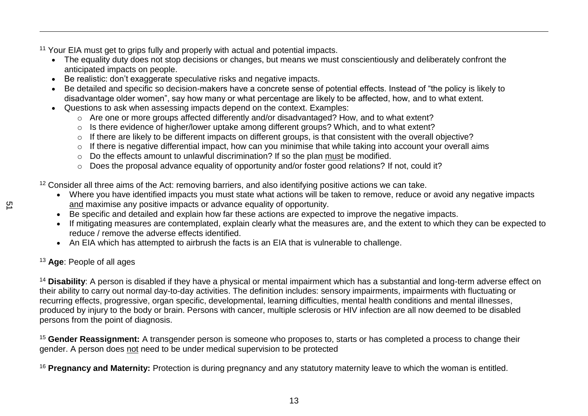<sup>11</sup> Your EIA must get to grips fully and properly with actual and potential impacts.

- The equality duty does not stop decisions or changes, but means we must conscientiously and deliberately confront the anticipated impacts on people.
- Be realistic: don't exaggerate speculative risks and negative impacts.
- Be detailed and specific so decision-makers have a concrete sense of potential effects. Instead of "the policy is likely to disadvantage older women", say how many or what percentage are likely to be affected, how, and to what extent.
- Questions to ask when assessing impacts depend on the context. Examples:
	- o Are one or more groups affected differently and/or disadvantaged? How, and to what extent?
	- o Is there evidence of higher/lower uptake among different groups? Which, and to what extent?
	- o If there are likely to be different impacts on different groups, is that consistent with the overall objective?
	- o If there is negative differential impact, how can you minimise that while taking into account your overall aims
	- o Do the effects amount to unlawful discrimination? If so the plan must be modified.
	- o Does the proposal advance equality of opportunity and/or foster good relations? If not, could it?

<sup>12</sup> Consider all three aims of the Act: removing barriers, and also identifying positive actions we can take.

- Where you have identified impacts you must state what actions will be taken to remove, reduce or avoid any negative impacts and maximise any positive impacts or advance equality of opportunity.
- Be specific and detailed and explain how far these actions are expected to improve the negative impacts.
- If mitigating measures are contemplated, explain clearly what the measures are, and the extent to which they can be expected to reduce / remove the adverse effects identified.
- An EIA which has attempted to airbrush the facts is an EIA that is vulnerable to challenge.

### <sup>13</sup> **Age**: People of all ages

<sup>14</sup> Disability: A person is disabled if they have a physical or mental impairment which has a substantial and long-term adverse effect on their ability to carry out normal day-to-day activities. The definition includes: sensory impairments, impairments with fluctuating or recurring effects, progressive, organ specific, developmental, learning difficulties, mental health conditions and mental illnesses, produced by injury to the body or brain. Persons with cancer, multiple sclerosis or HIV infection are all now deemed to be disabled persons from the point of diagnosis.

<sup>15</sup> Gender Reassignment: A transgender person is someone who proposes to, starts or has completed a process to change their gender. A person does not need to be under medical supervision to be protected

<sup>16</sup> **Pregnancy and Maternity:** Protection is during pregnancy and any statutory maternity leave to which the woman is entitled.

 $\overline{a}$